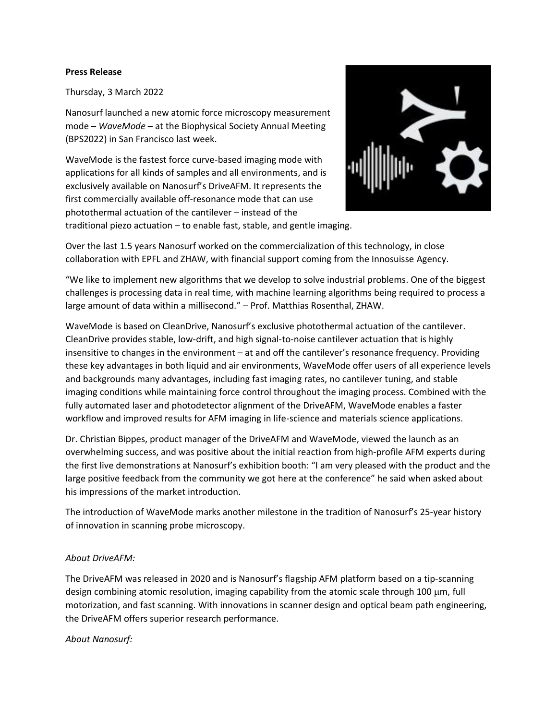## **Press Release**

Thursday, 3 March 2022

Nanosurf launched a new atomic force microscopy measurement mode – *WaveMode* – at the Biophysical Society Annual Meeting (BPS2022) in San Francisco last week.

WaveMode is the fastest force curve-based imaging mode with applications for all kinds of samples and all environments, and is exclusively available on Nanosurf's DriveAFM. It represents the first commercially available off-resonance mode that can use photothermal actuation of the cantilever – instead of the traditional piezo actuation – to enable fast, stable, and gentle imaging.



Over the last 1.5 years Nanosurf worked on the commercialization of this technology, in close collaboration with EPFL and ZHAW, with financial support coming from the Innosuisse Agency.

"We like to implement new algorithms that we develop to solve industrial problems. One of the biggest challenges is processing data in real time, with machine learning algorithms being required to process a large amount of data within a millisecond." – Prof. Matthias Rosenthal, ZHAW.

WaveMode is based on CleanDrive, Nanosurf's exclusive photothermal actuation of the cantilever. CleanDrive provides stable, low-drift, and high signal-to-noise cantilever actuation that is highly insensitive to changes in the environment – at and off the cantilever's resonance frequency. Providing these key advantages in both liquid and air environments, WaveMode offer users of all experience levels and backgrounds many advantages, including fast imaging rates, no cantilever tuning, and stable imaging conditions while maintaining force control throughout the imaging process. Combined with the fully automated laser and photodetector alignment of the DriveAFM, WaveMode enables a faster workflow and improved results for AFM imaging in life-science and materials science applications.

Dr. Christian Bippes, product manager of the DriveAFM and WaveMode, viewed the launch as an overwhelming success, and was positive about the initial reaction from high-profile AFM experts during the first live demonstrations at Nanosurf's exhibition booth: "I am very pleased with the product and the large positive feedback from the community we got here at the conference" he said when asked about his impressions of the market introduction.

The introduction of WaveMode marks another milestone in the tradition of Nanosurf's 25-year history of innovation in scanning probe microscopy.

## *About DriveAFM:*

The DriveAFM was released in 2020 and is Nanosurf's flagship AFM platform based on a tip-scanning design combining atomic resolution, imaging capability from the atomic scale through 100  $\mu$ m, full motorization, and fast scanning. With innovations in scanner design and optical beam path engineering, the DriveAFM offers superior research performance.

## *About Nanosurf:*